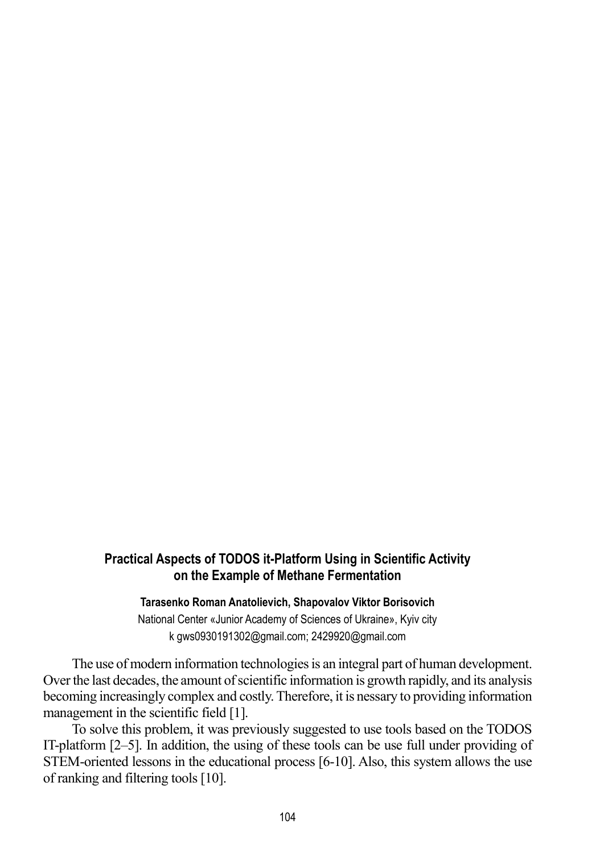## **Practical Aspects of TODOS it-Platform Using in Scientific Activity on the Example of Methane Fermentation**

## **Tarasenko Roman Anatolievich, Shapovalov Viktor Borisovich**

National Center «Junior Academy of Sciences of Ukraine», Kyiv city k [gws0930191302@gmail.com;](mailto:gws0930191302@gmail.com) 2429920@gmail.com

The use of modern information technologies is an integral part of human development. Over the last decades, the amount of scientific information is growth rapidly, and its analysis becoming increasingly complex and costly.Therefore, it is nessary to providing information management in the scientific field [1].

To solve this problem, it was previously suggested to use tools based on the TODOS IT-platform [2–5]. In addition, the using of these tools can be use full under providing of STEM-oriented lessons in the educational process [6-10]. Also, this system allows the use of ranking and filtering tools [10].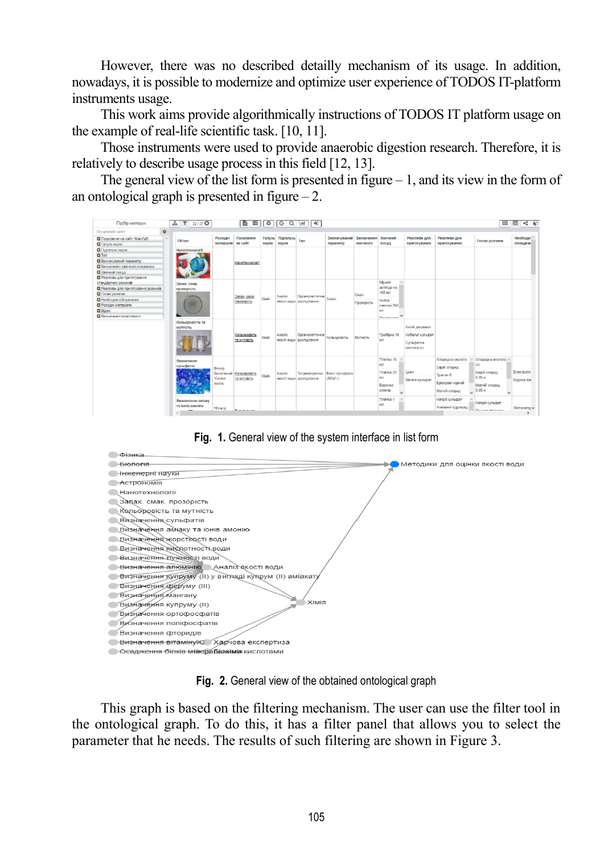However, there was no described detailly mechanism of its usage. In addition, nowadays, it is possible to modernize and optimize user experience of TODOS IT-platform instruments usage.

This work aims provide algorithmically instructions of TODOS IT platform usage on the example of real-life scientific task. [10, 11].

Those instruments were used to provide anaerobic digestion research. Therefore, it is relatively to describe usage process in this field [12, 13].

The general view of the list form is presented in figure  $-1$ , and its view in the form of an ontological graph is presented in figure  $-2$ .







**Fig. 2.** General view of the obtained ontological graph

This graph is based on the filtering mechanism. The user can use the filter tool in the ontological graph. To do this, it has a filter panel that allows you to select the parameter that he needs. The results of such filtering are shown in Figure 3.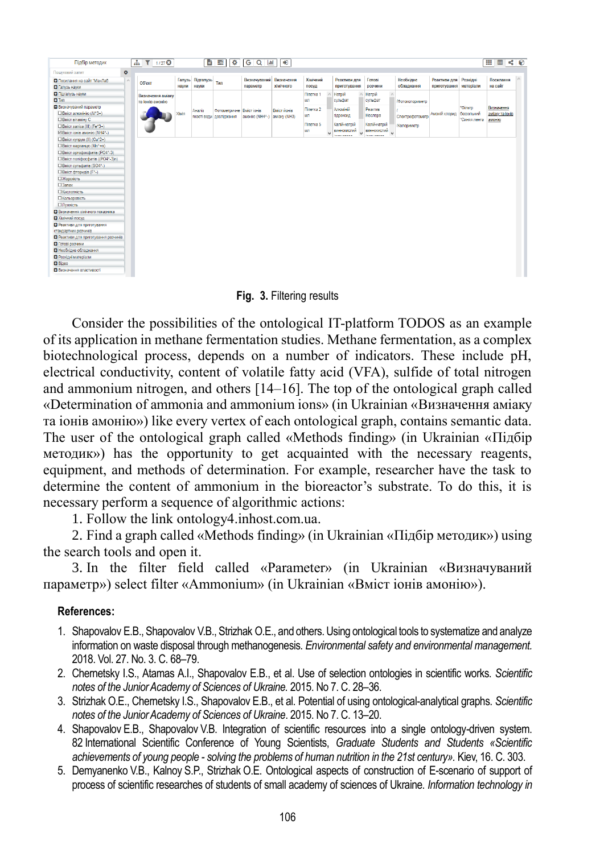| Підбір методик                                                                                                                                                                                                                                                                 |           | $\frac{1}{2}$ $\frac{1}{27}$ $\frac{1}{27}$ $\frac{1}{27}$ |       |                           | 背景<br>$\bullet$                                       | $GQ _{m}$                           | $\rightarrow$ |                              |              |                                                 |                                               |                               |                                                 |                            | H<br>国内的                  |          |
|--------------------------------------------------------------------------------------------------------------------------------------------------------------------------------------------------------------------------------------------------------------------------------|-----------|------------------------------------------------------------|-------|---------------------------|-------------------------------------------------------|-------------------------------------|---------------|------------------------------|--------------|-------------------------------------------------|-----------------------------------------------|-------------------------------|-------------------------------------------------|----------------------------|---------------------------|----------|
| Пошуковий запит                                                                                                                                                                                                                                                                | $\bullet$ |                                                            |       |                           |                                                       |                                     |               |                              |              |                                                 |                                               |                               |                                                 |                            |                           |          |
| <b>• Посилання на сайт "МанЛаб</b><br>Палузь науки                                                                                                                                                                                                                             | $\wedge$  | Об'єкт                                                     | науки | Галузь Підгалузь<br>науки | Тип                                                   | Визначуваний Визначення<br>параметр | хімічного     | Хімічний<br>посуд            |              | Реактиви для<br>приготування                    | Готові<br>розчини                             | Необхідне<br>обладнання       | Реактиви для Розхідні<br>приготування матеріали |                            | Посилання<br>на сайт      | $\wedge$ |
| Підгалузь науки<br><b>C3 Twn</b><br>Визначуваний параметр                                                                                                                                                                                                                      |           | Визначення аміаку<br>та іонів амонію                       |       |                           |                                                       |                                     |               | Піпетка 1<br>MЛ<br>Піпетка 2 |              | Натрій<br>сульфат<br>Алюміній                   | Натрій<br>сульфат<br>Реактив                  | /Фотоколориметр               |                                                 | *Фільтр                    | Визначення                |          |
| $\Box$ Вміст алюмінію (АІ^3+)<br><b>BMICT BITAMINY C</b><br>□ Вміст заліза (III) (Fe^3+)<br>⊡ Вміст іонів амонію (NH4^-)                                                                                                                                                       |           |                                                            | Хімія | Аналіз                    | Фотометричне Вміст іонів<br>якості води   дослідження | амонію (NH4^-) аміаку (NH3)         | Вміст йонів   | MЛ<br>Піпетка 5<br>MЛ        | $\checkmark$ | гідроксид<br>Калій-натрій<br><b>ВИННОКИСЛИЙ</b> | Неслера<br>Калій-натрій<br><b>ВИННОКИСЛИЙ</b> | Спектрофотометр<br>Колориметр | Амоній хлорид                                   | беззольний<br>"Синяя лента | аміаку та іонів<br>амонію |          |
| □ Вміст купрум (II) (Cu^2+)<br>□ Вміст марганцю (Mn^+n)<br>$\Box$ Вміст ортофосфатів (РО4^-3)<br>□ Вміст поліфосфатів ((PO4^-3)n)<br>□ Вміст сульфатів (SO4^-)<br>□ Вміст фторидів (F^-)<br>□ Жорскість<br>$\Box$ 3anax<br>□ Кислотність<br>□ Кольоровість<br><b>ПЛужність</b> |           |                                                            |       |                           |                                                       |                                     |               |                              |              |                                                 |                                               |                               |                                                 |                            |                           |          |
| • Визначення хімічного показника<br><b>В Хімічний посуд</b><br>• Реактиви для приготування<br>стандартних розчинів<br>• Реактиви для приготування розчинів<br>П Готові розчини<br>• Необхідне обладнання<br>• Розхідні матеріали<br><b>C</b> Bineo<br>Визначення властивості   |           |                                                            |       |                           |                                                       |                                     |               |                              |              |                                                 |                                               |                               |                                                 |                            |                           |          |

**Fig. 3.** Filtering results

Consider the possibilities of the ontological IT-platform TODOS as an example of its application in methane fermentation studies. Methane fermentation, as a complex biotechnological process, depends on a number of indicators. These include pH, electrical conductivity, content of volatile fatty acid (VFA), sulfide of total nitrogen and ammonium nitrogen, and others [14–16]. The top of the ontological graph called «Determination of ammonia and ammonium ions» (in Ukrainian «Визначення аміаку та іонів амонію») like every vertex of each ontological graph, contains semantic data. The user of the ontological graph called «Methods finding» (in Ukrainian «Підбір методик») has the opportunity to get acquainted with the necessary reagents, equipment, and methods of determination. For example, researcher have the task to determine the content of ammonium in the bioreactor's substrate. To do this, it is necessary perform a sequence of algorithmic actions:

1. Follow the link [ontology4.inhost.com.ua.](http://ontology4.inhost.com.ua/)

2. Find a graph called «Methods finding» (in Ukrainian «Підбір методик») using the search tools and open it.

3. In the filter field called «Parameter» (in Ukrainian «Визначуваний параметр») select filter «Ammonium» (in Ukrainian «Вміст іонів амонію»).

## **References:**

- 1. Shapovalov E.B., Shapovalov V.B., Strizhak O.E., and others. Using ontological tools to systematize and analyze information on waste disposal through methanogenesis. *Environmental safety and environmental management.*  2018. Vol. 27. No. 3. C. 68–79.
- 2. Chernetsky I.S., Atamas A.I., Shapovalov E.B., et al. Use of selection ontologies in scientific works. *Scientific notes of the Junior Academy of Sciences of Ukraine.* 2015. No 7. C. 28–36.
- 3. Strizhak O.E., Chernetsky I.S., Shapovalov E.B., et al. Potential of using ontological-analytical graphs. *Scientific notes of the Junior Academy of Sciences of Ukraine*. 2015. No 7. C. 13–20.
- 4. Shapovalov E.B., Shapovalov V.B. Integration of scientific resources into a single ontology-driven system. 82 International Scientific Conference of Young Scientists, *Graduate Students and Students «Scientific achievements of young people - solving the problems of human nutrition in the 21st century».* Kiev, 16. C. 303.
- 5. Demyanenko V.B., Kalnoy S.P., Strizhak O.E. Ontological aspects of construction of E-scenario of support of process of scientific researches of students of small academy of sciences of Ukraine. *Information technology in*